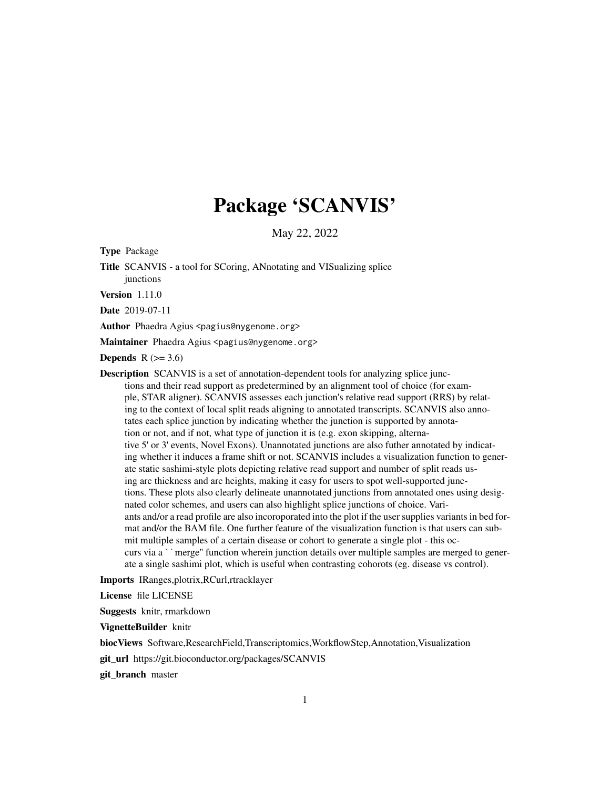# Package 'SCANVIS'

May 22, 2022

Type Package

Title SCANVIS - a tool for SCoring, ANnotating and VISualizing splice junctions

Version 1.11.0

Date 2019-07-11

Author Phaedra Agius <pagius@nygenome.org>

Maintainer Phaedra Agius <pagius@nygenome.org>

**Depends**  $R$  ( $>= 3.6$ )

Description SCANVIS is a set of annotation-dependent tools for analyzing splice junctions and their read support as predetermined by an alignment tool of choice (for example, STAR aligner). SCANVIS assesses each junction's relative read support (RRS) by relating to the context of local split reads aligning to annotated transcripts. SCANVIS also annotates each splice junction by indicating whether the junction is supported by annotation or not, and if not, what type of junction it is (e.g. exon skipping, alternative 5' or 3' events, Novel Exons). Unannotated junctions are also futher annotated by indicating whether it induces a frame shift or not. SCANVIS includes a visualization function to generate static sashimi-style plots depicting relative read support and number of split reads using arc thickness and arc heights, making it easy for users to spot well-supported junctions. These plots also clearly delineate unannotated junctions from annotated ones using designated color schemes, and users can also highlight splice junctions of choice. Variants and/or a read profile are also incoroporated into the plot if the user supplies variants in bed format and/or the BAM file. One further feature of the visualization function is that users can submit multiple samples of a certain disease or cohort to generate a single plot - this occurs via a ``merge'' function wherein junction details over multiple samples are merged to generate a single sashimi plot, which is useful when contrasting cohorots (eg. disease vs control).

Imports IRanges,plotrix,RCurl,rtracklayer

License file LICENSE

Suggests knitr, rmarkdown

VignetteBuilder knitr

biocViews Software,ResearchField,Transcriptomics,WorkflowStep,Annotation,Visualization

git\_url https://git.bioconductor.org/packages/SCANVIS

git\_branch master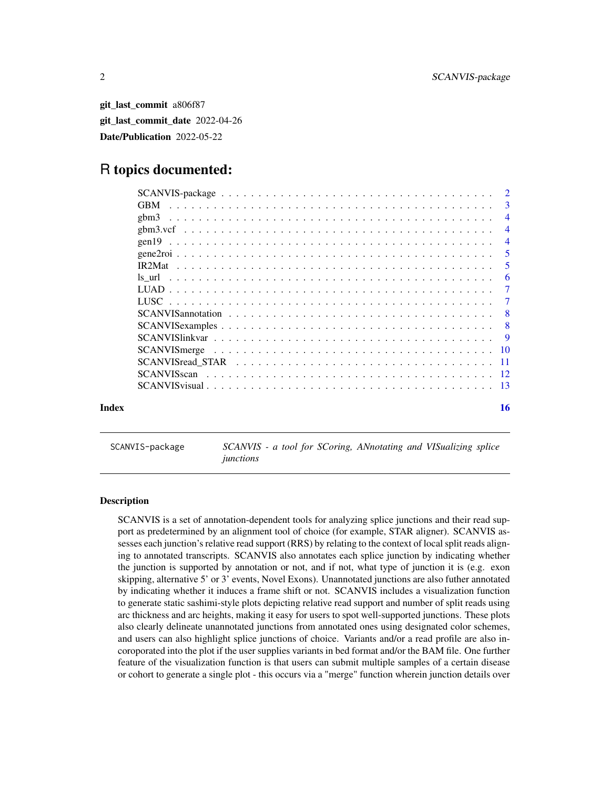<span id="page-1-0"></span>git\_last\_commit a806f87 git\_last\_commit\_date 2022-04-26 Date/Publication 2022-05-22

# R topics documented:

|       |                        | $\mathcal{R}$  |
|-------|------------------------|----------------|
|       | $\epsilon$ bm $\delta$ | $\overline{4}$ |
|       |                        | $\overline{4}$ |
|       |                        | $\overline{4}$ |
|       |                        | 5              |
|       |                        | 5              |
|       |                        | 6              |
|       |                        | $\overline{7}$ |
|       |                        | 7              |
|       |                        | - 8            |
|       |                        | -8             |
|       |                        | <b>9</b>       |
|       |                        |                |
|       |                        |                |
|       |                        |                |
|       |                        |                |
| Index |                        | 16             |

SCANVIS-package *SCANVIS - a tool for SCoring, ANnotating and VISualizing splice junctions*

#### Description

SCANVIS is a set of annotation-dependent tools for analyzing splice junctions and their read support as predetermined by an alignment tool of choice (for example, STAR aligner). SCANVIS assesses each junction's relative read support (RRS) by relating to the context of local split reads aligning to annotated transcripts. SCANVIS also annotates each splice junction by indicating whether the junction is supported by annotation or not, and if not, what type of junction it is (e.g. exon skipping, alternative 5' or 3' events, Novel Exons). Unannotated junctions are also futher annotated by indicating whether it induces a frame shift or not. SCANVIS includes a visualization function to generate static sashimi-style plots depicting relative read support and number of split reads using arc thickness and arc heights, making it easy for users to spot well-supported junctions. These plots also clearly delineate unannotated junctions from annotated ones using designated color schemes, and users can also highlight splice junctions of choice. Variants and/or a read profile are also incoroporated into the plot if the user supplies variants in bed format and/or the BAM file. One further feature of the visualization function is that users can submit multiple samples of a certain disease or cohort to generate a single plot - this occurs via a "merge" function wherein junction details over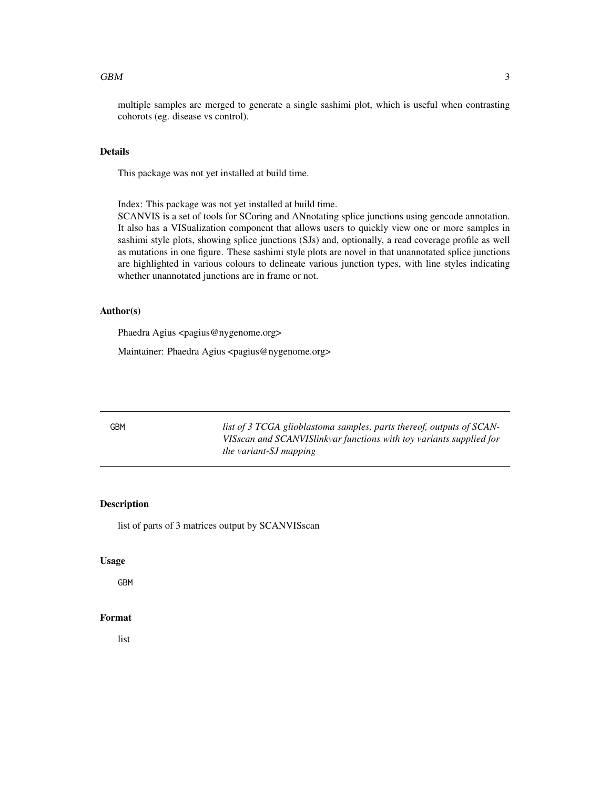#### <span id="page-2-0"></span> $GBM$  3

multiple samples are merged to generate a single sashimi plot, which is useful when contrasting cohorots (eg. disease vs control).

#### Details

This package was not yet installed at build time.

Index: This package was not yet installed at build time.

SCANVIS is a set of tools for SCoring and ANnotating splice junctions using gencode annotation. It also has a VISualization component that allows users to quickly view one or more samples in sashimi style plots, showing splice junctions (SJs) and, optionally, a read coverage profile as well as mutations in one figure. These sashimi style plots are novel in that unannotated splice junctions are highlighted in various colours to delineate various junction types, with line styles indicating whether unannotated junctions are in frame or not.

#### Author(s)

Phaedra Agius <pagius@nygenome.org>

Maintainer: Phaedra Agius <pagius@nygenome.org>

GBM *list of 3 TCGA glioblastoma samples, parts thereof, outputs of SCAN-VISscan and SCANVISlinkvar functions with toy variants supplied for the variant-SJ mapping*

#### Description

list of parts of 3 matrices output by SCANVISscan

#### Usage

GBM

#### Format

list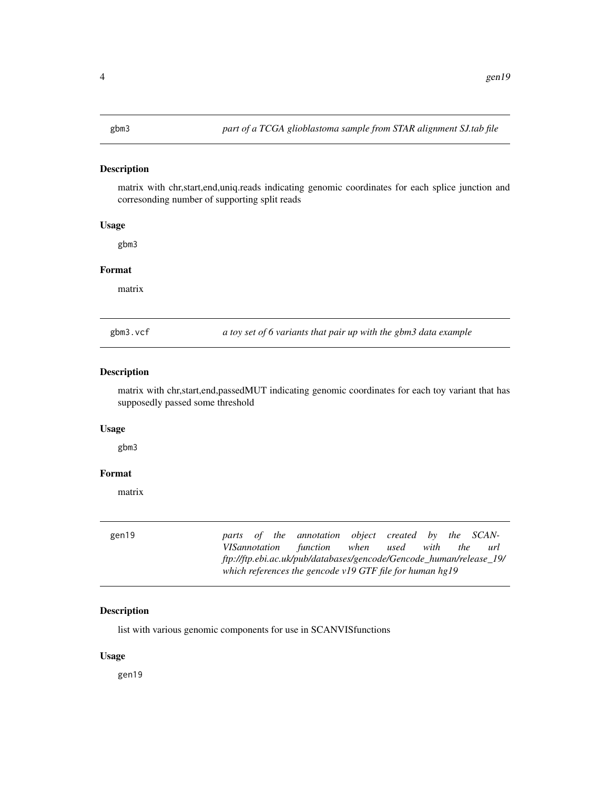<span id="page-3-0"></span>matrix with chr,start,end,uniq.reads indicating genomic coordinates for each splice junction and corresonding number of supporting split reads

# Usage

gbm3

#### Format

matrix

gbm3.vcf *a toy set of 6 variants that pair up with the gbm3 data example*

# Description

matrix with chr,start,end,passedMUT indicating genomic coordinates for each toy variant that has supposedly passed some threshold

# Usage

gbm3

### Format

matrix

| gen19 | parts of the annotation object created by the SCAN-                 |  |  |            |     |
|-------|---------------------------------------------------------------------|--|--|------------|-----|
|       | VISannotation function when used with                               |  |  | <i>the</i> | url |
|       | ftp://ftp.ebi.ac.uk/pub/databases/gencode/Gencode_human/release_19/ |  |  |            |     |
|       | which references the gencode $v19$ GTF file for human $hg19$        |  |  |            |     |

# Description

list with various genomic components for use in SCANVISfunctions

#### Usage

gen19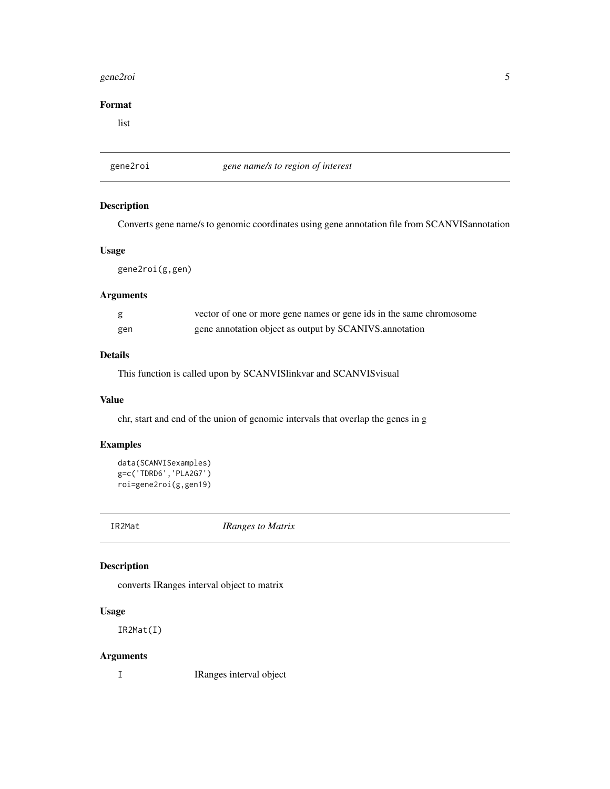#### <span id="page-4-0"></span>gene2roi 5

# Format

list

gene2roi *gene name/s to region of interest*

# Description

Converts gene name/s to genomic coordinates using gene annotation file from SCANVISannotation

#### Usage

gene2roi(g,gen)

# Arguments

| g   | vector of one or more gene names or gene ids in the same chromosome |
|-----|---------------------------------------------------------------------|
| gen | gene annotation object as output by SCANIVS.annotation              |

# Details

This function is called upon by SCANVISlinkvar and SCANVISvisual

### Value

chr, start and end of the union of genomic intervals that overlap the genes in g

# Examples

```
data(SCANVISexamples)
g=c('TDRD6','PLA2G7')
roi=gene2roi(g,gen19)
```
IR2Mat *IRanges to Matrix*

# Description

converts IRanges interval object to matrix

# Usage

IR2Mat(I)

# Arguments

I IRanges interval object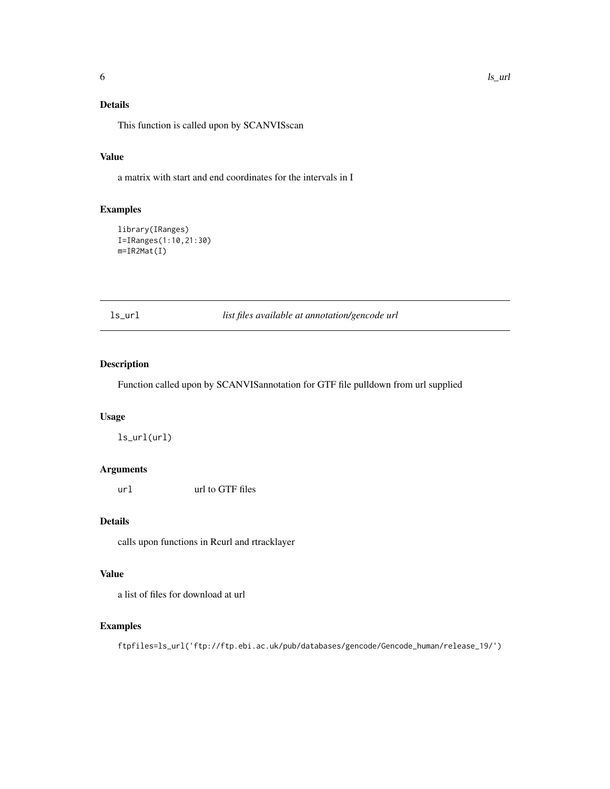# <span id="page-5-0"></span>Details

This function is called upon by SCANVISscan

#### Value

a matrix with start and end coordinates for the intervals in I

# Examples

```
library(IRanges)
I=IRanges(1:10,21:30)
m=IR2Mat(I)
```
ls\_url *list files available at annotation/gencode url*

# Description

Function called upon by SCANVISannotation for GTF file pulldown from url supplied

# Usage

ls\_url(url)

# Arguments

url url to GTF files

# Details

calls upon functions in Rcurl and rtracklayer

#### Value

a list of files for download at url

# Examples

ftpfiles=ls\_url('ftp://ftp.ebi.ac.uk/pub/databases/gencode/Gencode\_human/release\_19/')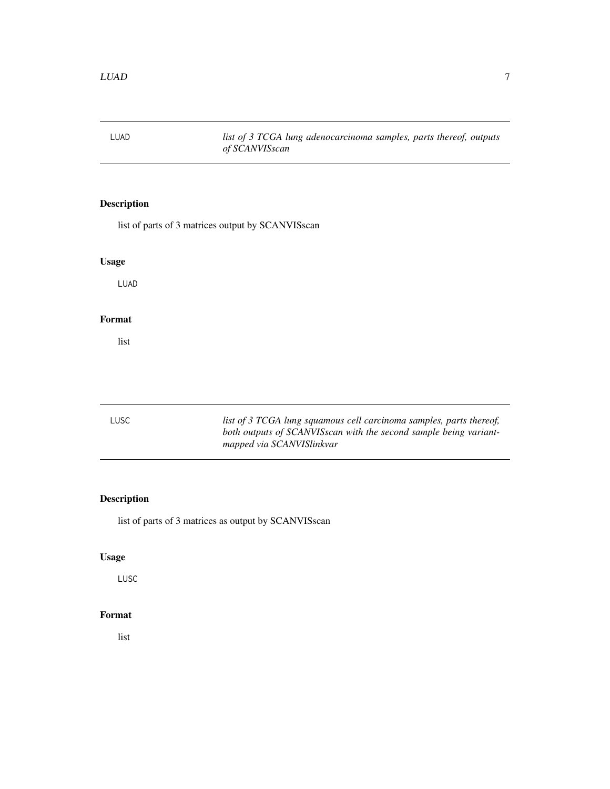<span id="page-6-0"></span>LUAD *list of 3 TCGA lung adenocarcinoma samples, parts thereof, outputs of SCANVISscan*

# Description

list of parts of 3 matrices output by SCANVISscan

# Usage

LUAD

# Format

list

| LUSC | list of 3 TCGA lung squamous cell carcinoma samples, parts thereof,<br>both outputs of SCANVISscan with the second sample being variant-<br>mapped via SCANVISlinkvar |
|------|-----------------------------------------------------------------------------------------------------------------------------------------------------------------------|
|      |                                                                                                                                                                       |

# Description

list of parts of 3 matrices as output by SCANVISscan

# Usage

LUSC

# Format

list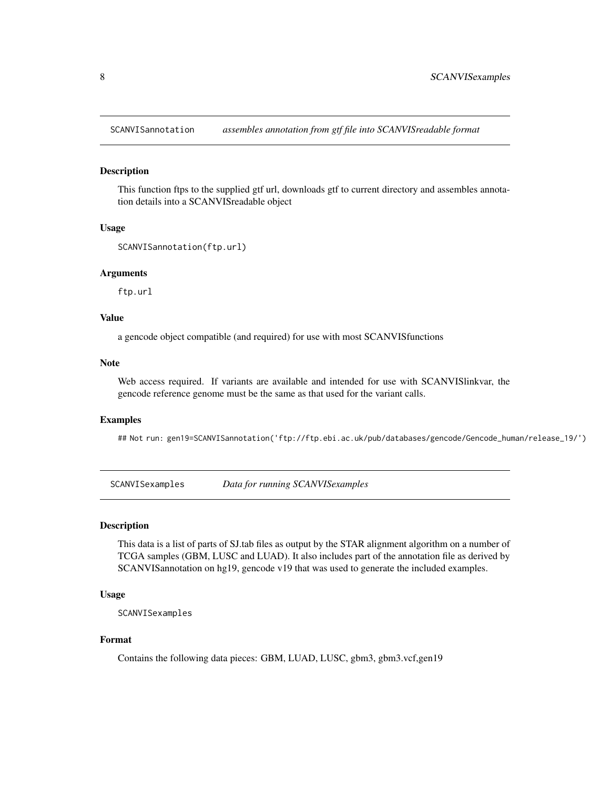<span id="page-7-0"></span>SCANVISannotation *assembles annotation from gtf file into SCANVISreadable format*

#### Description

This function ftps to the supplied gtf url, downloads gtf to current directory and assembles annotation details into a SCANVISreadable object

#### Usage

```
SCANVISannotation(ftp.url)
```
#### Arguments

ftp.url

#### Value

a gencode object compatible (and required) for use with most SCANVISfunctions

#### Note

Web access required. If variants are available and intended for use with SCANVISlinkvar, the gencode reference genome must be the same as that used for the variant calls.

#### Examples

## Not run: gen19=SCANVISannotation('ftp://ftp.ebi.ac.uk/pub/databases/gencode/Gencode\_human/release\_19/')

SCANVISexamples *Data for running SCANVISexamples*

#### Description

This data is a list of parts of SJ.tab files as output by the STAR alignment algorithm on a number of TCGA samples (GBM, LUSC and LUAD). It also includes part of the annotation file as derived by SCANVISannotation on hg19, gencode v19 that was used to generate the included examples.

#### Usage

SCANVISexamples

#### Format

Contains the following data pieces: GBM, LUAD, LUSC, gbm3, gbm3.vcf,gen19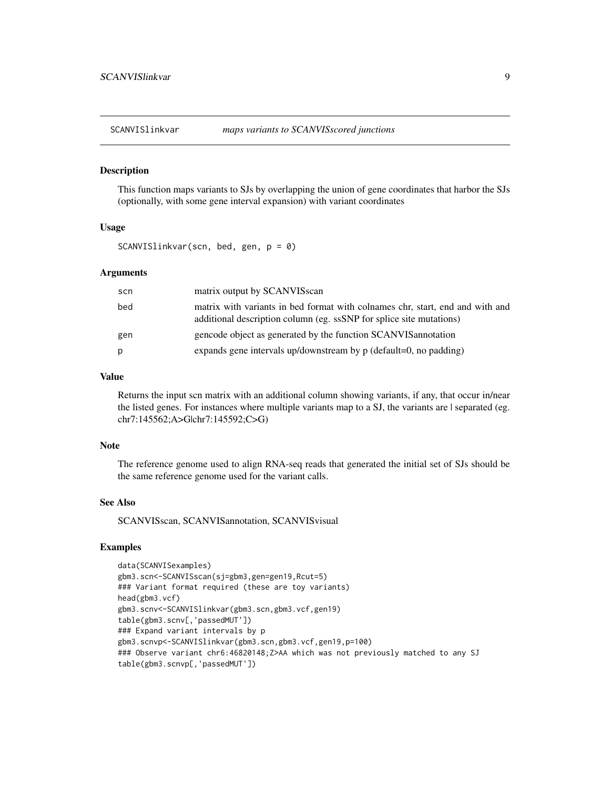<span id="page-8-0"></span>

This function maps variants to SJs by overlapping the union of gene coordinates that harbor the SJs (optionally, with some gene interval expansion) with variant coordinates

#### Usage

SCANVISlinkvar(scn, bed, gen, p = 0)

#### Arguments

| scn | matrix output by SCANVISscan                                                                                                                         |
|-----|------------------------------------------------------------------------------------------------------------------------------------------------------|
| bed | matrix with variants in bed format with colnames chr, start, end and with and<br>additional description column (eg. ssSNP for splice site mutations) |
| gen | gencode object as generated by the function SCANVIS annotation                                                                                       |
| p   | expands gene intervals up/downstream by $p$ (default=0, no padding)                                                                                  |

# Value

Returns the input scn matrix with an additional column showing variants, if any, that occur in/near the listed genes. For instances where multiple variants map to a SJ, the variants are | separated (eg. chr7:145562;A>G|chr7:145592;C>G)

#### Note

The reference genome used to align RNA-seq reads that generated the initial set of SJs should be the same reference genome used for the variant calls.

#### See Also

SCANVISscan, SCANVISannotation, SCANVISvisual

# Examples

```
data(SCANVISexamples)
gbm3.scn<-SCANVISscan(sj=gbm3,gen=gen19,Rcut=5)
### Variant format required (these are toy variants)
head(gbm3.vcf)
gbm3.scnv<-SCANVISlinkvar(gbm3.scn,gbm3.vcf,gen19)
table(gbm3.scnv[,'passedMUT'])
### Expand variant intervals by p
gbm3.scnvp<-SCANVISlinkvar(gbm3.scn,gbm3.vcf,gen19,p=100)
### Observe variant chr6:46820148;Z>AA which was not previously matched to any SJ
table(gbm3.scnvp[,'passedMUT'])
```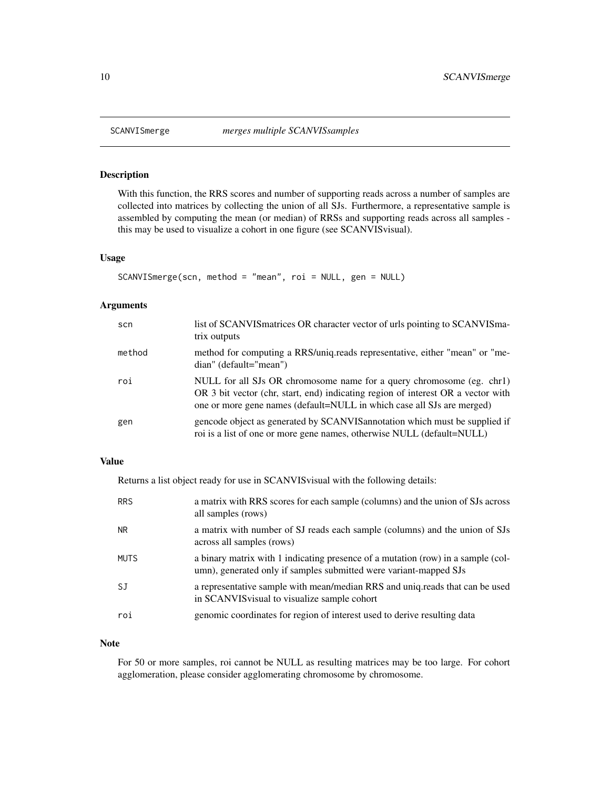With this function, the RRS scores and number of supporting reads across a number of samples are collected into matrices by collecting the union of all SJs. Furthermore, a representative sample is assembled by computing the mean (or median) of RRSs and supporting reads across all samples this may be used to visualize a cohort in one figure (see SCANVISvisual).

### Usage

```
SCANVISmerge(scn, method = "mean", roi = NULL, gen = NULL)
```
#### Arguments

| scn    | list of SCANVIS matrices OR character vector of urls pointing to SCANVIS ma-<br>trix outputs                                                                                                                                        |
|--------|-------------------------------------------------------------------------------------------------------------------------------------------------------------------------------------------------------------------------------------|
| method | method for computing a RRS/uniq.reads representative, either "mean" or "me-<br>dian" (default="mean")                                                                                                                               |
| roi    | NULL for all SJs OR chromosome name for a query chromosome (eg. chr1)<br>OR 3 bit vector (chr, start, end) indicating region of interest OR a vector with<br>one or more gene names (default=NULL in which case all SJs are merged) |
| gen    | gencode object as generated by SCANVIS annotation which must be supplied if<br>roi is a list of one or more gene names, otherwise NULL (default=NULL)                                                                               |

### Value

Returns a list object ready for use in SCANVISvisual with the following details:

| <b>RRS</b>  | a matrix with RRS scores for each sample (columns) and the union of SJs across<br>all samples (rows)                                                  |
|-------------|-------------------------------------------------------------------------------------------------------------------------------------------------------|
| <b>NR</b>   | a matrix with number of SJ reads each sample (columns) and the union of SJs<br>across all samples (rows)                                              |
| <b>MUTS</b> | a binary matrix with 1 indicating presence of a mutation (row) in a sample (col-<br>umn), generated only if samples submitted were variant-mapped SJs |
| <b>SJ</b>   | a representative sample with mean/median RRS and uniq reads that can be used<br>in SCANVIS visual to visualize sample cohort                          |
| roi         | genomic coordinates for region of interest used to derive resulting data                                                                              |

#### Note

For 50 or more samples, roi cannot be NULL as resulting matrices may be too large. For cohort agglomeration, please consider agglomerating chromosome by chromosome.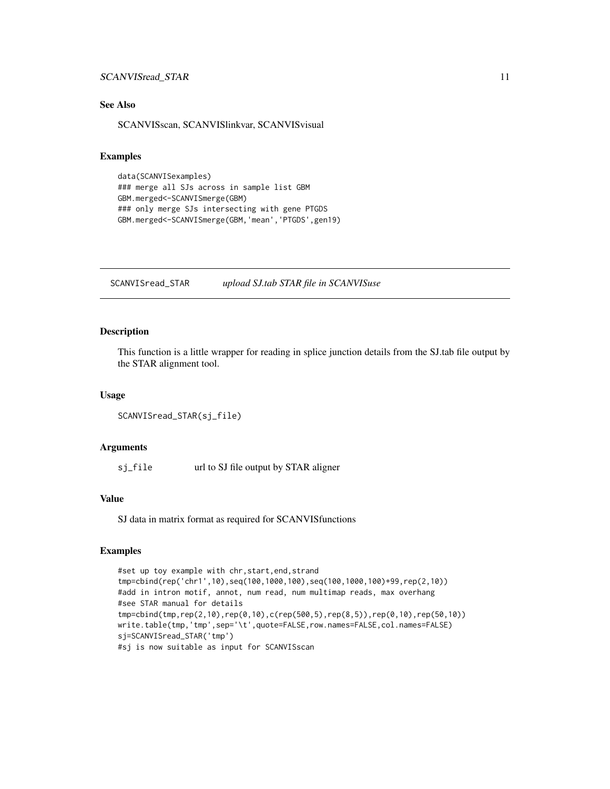# <span id="page-10-0"></span>SCANVISread\_STAR 11

# See Also

SCANVISscan, SCANVISlinkvar, SCANVISvisual

#### Examples

```
data(SCANVISexamples)
### merge all SJs across in sample list GBM
GBM.merged<-SCANVISmerge(GBM)
### only merge SJs intersecting with gene PTGDS
GBM.merged<-SCANVISmerge(GBM,'mean','PTGDS',gen19)
```
SCANVISread\_STAR *upload SJ.tab STAR file in SCANVISuse*

#### Description

This function is a little wrapper for reading in splice junction details from the SJ.tab file output by the STAR alignment tool.

#### Usage

```
SCANVISread_STAR(sj_file)
```
#### Arguments

sj\_file url to SJ file output by STAR aligner

### Value

SJ data in matrix format as required for SCANVISfunctions

#### Examples

```
#set up toy example with chr,start,end,strand
tmp=cbind(rep('chr1',10),seq(100,1000,100),seq(100,1000,100)+99,rep(2,10))
#add in intron motif, annot, num read, num multimap reads, max overhang
#see STAR manual for details
tmp=cbind(tmp,rep(2,10),rep(0,10),c(rep(500,5),rep(8,5)),rep(0,10),rep(50,10))
write.table(tmp,'tmp',sep='\t',quote=FALSE,row.names=FALSE,col.names=FALSE)
sj=SCANVISread_STAR('tmp')
#sj is now suitable as input for SCANVISscan
```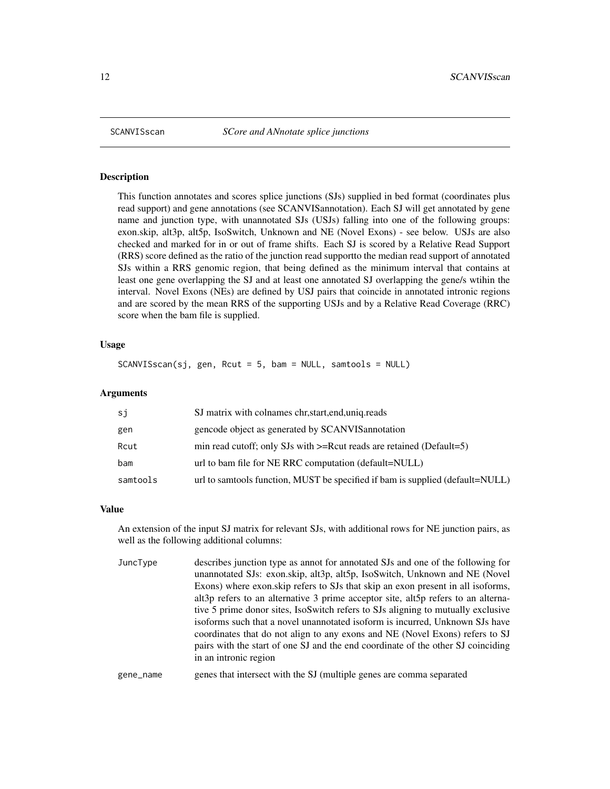<span id="page-11-0"></span>

This function annotates and scores splice junctions (SJs) supplied in bed format (coordinates plus read support) and gene annotations (see SCANVISannotation). Each SJ will get annotated by gene name and junction type, with unannotated SJs (USJs) falling into one of the following groups: exon.skip, alt3p, alt5p, IsoSwitch, Unknown and NE (Novel Exons) - see below. USJs are also checked and marked for in or out of frame shifts. Each SJ is scored by a Relative Read Support (RRS) score defined as the ratio of the junction read supportto the median read support of annotated SJs within a RRS genomic region, that being defined as the minimum interval that contains at least one gene overlapping the SJ and at least one annotated SJ overlapping the gene/s wtihin the interval. Novel Exons (NEs) are defined by USJ pairs that coincide in annotated intronic regions and are scored by the mean RRS of the supporting USJs and by a Relative Read Coverage (RRC) score when the bam file is supplied.

# Usage

SCANVISscan(sj, gen, Rcut = 5, bam = NULL, samtools = NULL)

#### Arguments

| si       | SJ matrix with colnames chr, start, end, uniq. reads                          |
|----------|-------------------------------------------------------------------------------|
| gen      | gencode object as generated by SCANVIS annotation                             |
| Rcut     | min read cutoff; only SJs with $>=$ Rcut reads are retained (Default=5)       |
| bam      | url to bam file for NE RRC computation (default=NULL)                         |
| samtools | url to samtools function, MUST be specified if bam is supplied (default=NULL) |

#### Value

An extension of the input SJ matrix for relevant SJs, with additional rows for NE junction pairs, as well as the following additional columns:

| JuncType | describes junction type as annot for annotated SJs and one of the following for   |
|----------|-----------------------------------------------------------------------------------|
|          | unannotated SJs: exon.skip, alt3p, alt5p, IsoSwitch, Unknown and NE (Novel        |
|          | Exons) where exon skip refers to SJs that skip an exon present in all isoforms,   |
|          | alt3p refers to an alternative 3 prime acceptor site, alt5p refers to an alterna- |
|          | tive 5 prime donor sites, IsoSwitch refers to SJs aligning to mutually exclusive  |
|          | isoforms such that a novel unannotated isoform is incurred, Unknown SJs have      |
|          | coordinates that do not align to any exons and NE (Novel Exons) refers to SJ      |
|          | pairs with the start of one SJ and the end coordinate of the other SJ coinciding  |
|          | in an intronic region                                                             |
|          |                                                                                   |

# gene\_name genes that intersect with the SJ (multiple genes are comma separated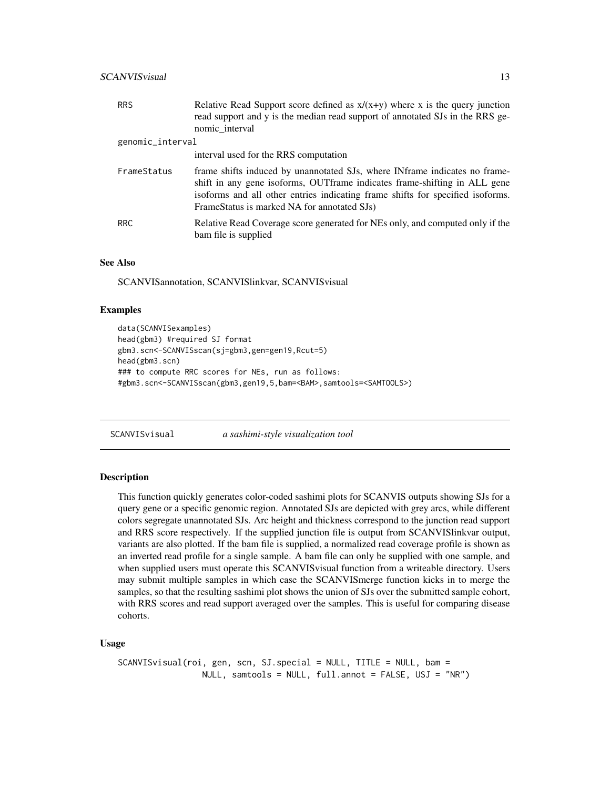# <span id="page-12-0"></span>SCANVISvisual 13

| <b>RRS</b>       | Relative Read Support score defined as $x/(x+y)$ where x is the query junction<br>read support and y is the median read support of annotated SJs in the RRS ge-<br>nomic_interval                                                                                                        |
|------------------|------------------------------------------------------------------------------------------------------------------------------------------------------------------------------------------------------------------------------------------------------------------------------------------|
| genomic_interval |                                                                                                                                                                                                                                                                                          |
|                  | interval used for the RRS computation                                                                                                                                                                                                                                                    |
| FrameStatus      | frame shifts induced by unannotated SJs, where INframe indicates no frame-<br>shift in any gene isoforms, OUTframe indicates frame-shifting in ALL gene<br>isoforms and all other entries indicating frame shifts for specified isoforms.<br>FrameStatus is marked NA for annotated SJs) |
| <b>RRC</b>       | Relative Read Coverage score generated for NEs only, and computed only if the<br>bam file is supplied                                                                                                                                                                                    |

#### See Also

SCANVISannotation, SCANVISlinkvar, SCANVISvisual

#### Examples

```
data(SCANVISexamples)
head(gbm3) #required SJ format
gbm3.scn<-SCANVISscan(sj=gbm3,gen=gen19,Rcut=5)
head(gbm3.scn)
### to compute RRC scores for NEs, run as follows:
#gbm3.scn<-SCANVISscan(gbm3,gen19,5,bam=<BAM>,samtools=<SAMTOOLS>)
```
SCANVISvisual *a sashimi-style visualization tool*

#### Description

This function quickly generates color-coded sashimi plots for SCANVIS outputs showing SJs for a query gene or a specific genomic region. Annotated SJs are depicted with grey arcs, while different colors segregate unannotated SJs. Arc height and thickness correspond to the junction read support and RRS score respectively. If the supplied junction file is output from SCANVISlinkvar output, variants are also plotted. If the bam file is supplied, a normalized read coverage profile is shown as an inverted read profile for a single sample. A bam file can only be supplied with one sample, and when supplied users must operate this SCANVISvisual function from a writeable directory. Users may submit multiple samples in which case the SCANVISmerge function kicks in to merge the samples, so that the resulting sashimi plot shows the union of SJs over the submitted sample cohort, with RRS scores and read support averaged over the samples. This is useful for comparing disease cohorts.

#### Usage

```
SCANVISvisual(roi, gen, scn, SJ.special = NULL, TITLE = NULL, bam =
                NULL, samtools = NULL, full.annot = FALSE, USJ = "NR")
```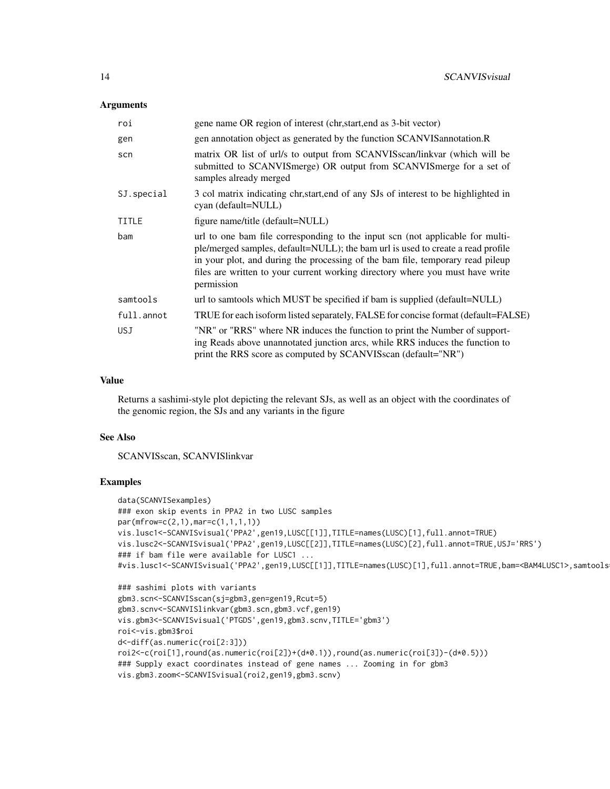#### Arguments

| roi          | gene name OR region of interest (chr, start, end as 3-bit vector)                                                                                                                                                                                                                                                                                 |
|--------------|---------------------------------------------------------------------------------------------------------------------------------------------------------------------------------------------------------------------------------------------------------------------------------------------------------------------------------------------------|
| gen          | gen annotation object as generated by the function SCANVIS annotation. R                                                                                                                                                                                                                                                                          |
| scn          | matrix OR list of url/s to output from SCANVISscan/linkvar (which will be<br>submitted to SCANVISmerge) OR output from SCANVISmerge for a set of<br>samples already merged                                                                                                                                                                        |
| SJ. special  | 3 col matrix indicating chr, start, end of any SJs of interest to be highlighted in<br>cyan (default=NULL)                                                                                                                                                                                                                                        |
| <b>TITLE</b> | figure name/title (default=NULL)                                                                                                                                                                                                                                                                                                                  |
| bam          | url to one bam file corresponding to the input scn (not applicable for multi-<br>ple/merged samples, default=NULL); the bam url is used to create a read profile<br>in your plot, and during the processing of the bam file, temporary read pileup<br>files are written to your current working directory where you must have write<br>permission |
| samtools     | url to samtools which MUST be specified if bam is supplied (default=NULL)                                                                                                                                                                                                                                                                         |
| full.annot   | TRUE for each isoform listed separately, FALSE for concise format (default=FALSE)                                                                                                                                                                                                                                                                 |
| <b>USJ</b>   | "NR" or "RRS" where NR induces the function to print the Number of support-<br>ing Reads above unannotated junction arcs, while RRS induces the function to<br>print the RRS score as computed by SCANVISscan (default="NR")                                                                                                                      |

#### Value

Returns a sashimi-style plot depicting the relevant SJs, as well as an object with the coordinates of the genomic region, the SJs and any variants in the figure

# See Also

SCANVISscan, SCANVISlinkvar

# Examples

```
data(SCANVISexamples)
### exon skip events in PPA2 in two LUSC samples
par(mfrow=c(2,1),mar=c(1,1,1,1))
vis.lusc1<-SCANVISvisual('PPA2',gen19,LUSC[[1]],TITLE=names(LUSC)[1],full.annot=TRUE)
vis.lusc2<-SCANVISvisual('PPA2',gen19,LUSC[[2]],TITLE=names(LUSC)[2],full.annot=TRUE,USJ='RRS')
### if bam file were available for LUSC1 ...
#vis.lusc1<-SCANVISvisual('PPA2',gen19,LUSC[[1]],TITLE=names(LUSC)[1],full.annot=TRUE,bam=<BAM4LUSC1>,samtools
```

```
### sashimi plots with variants
gbm3.scn<-SCANVISscan(sj=gbm3,gen=gen19,Rcut=5)
gbm3.scnv<-SCANVISlinkvar(gbm3.scn,gbm3.vcf,gen19)
vis.gbm3<-SCANVISvisual('PTGDS',gen19,gbm3.scnv,TITLE='gbm3')
roi<-vis.gbm3$roi
d<-diff(as.numeric(roi[2:3]))
roi2<-c(roi[1],round(as.numeric(roi[2])+(d*0.1)),round(as.numeric(roi[3])-(d*0.5)))
### Supply exact coordinates instead of gene names ... Zooming in for gbm3
vis.gbm3.zoom<-SCANVISvisual(roi2,gen19,gbm3.scnv)
```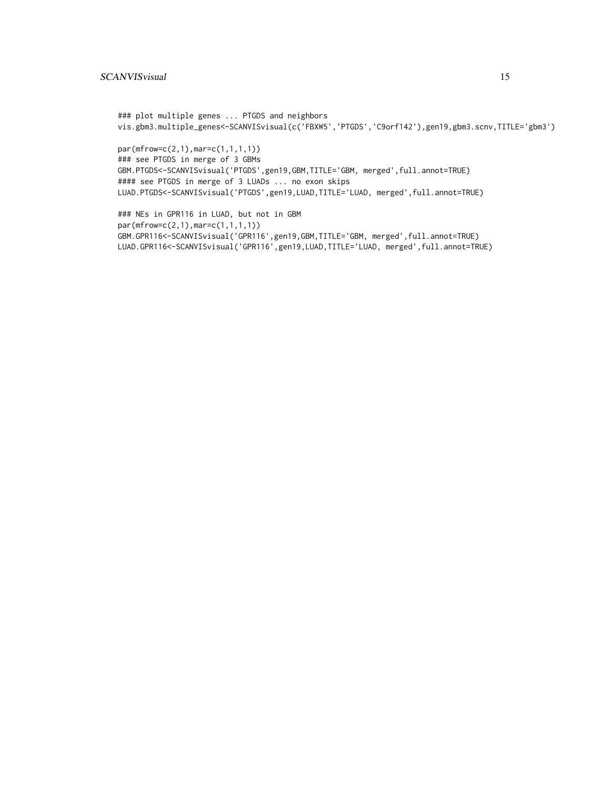```
### plot multiple genes ... PTGDS and neighbors
vis.gbm3.multiple_genes<-SCANVISvisual(c('FBXW5','PTGDS','C9orf142'),gen19,gbm3.scnv,TITLE='gbm3')
```
par(mfrow=c(2,1),mar=c(1,1,1,1)) ### see PTGDS in merge of 3 GBMs GBM.PTGDS<-SCANVISvisual('PTGDS',gen19,GBM,TITLE='GBM, merged',full.annot=TRUE) #### see PTGDS in merge of 3 LUADs ... no exon skips LUAD.PTGDS<-SCANVISvisual('PTGDS',gen19,LUAD,TITLE='LUAD, merged',full.annot=TRUE)

### NEs in GPR116 in LUAD, but not in GBM par(mfrow=c(2,1),mar=c(1,1,1,1)) GBM.GPR116<-SCANVISvisual('GPR116',gen19,GBM,TITLE='GBM, merged',full.annot=TRUE) LUAD.GPR116<-SCANVISvisual('GPR116',gen19,LUAD,TITLE='LUAD, merged',full.annot=TRUE)